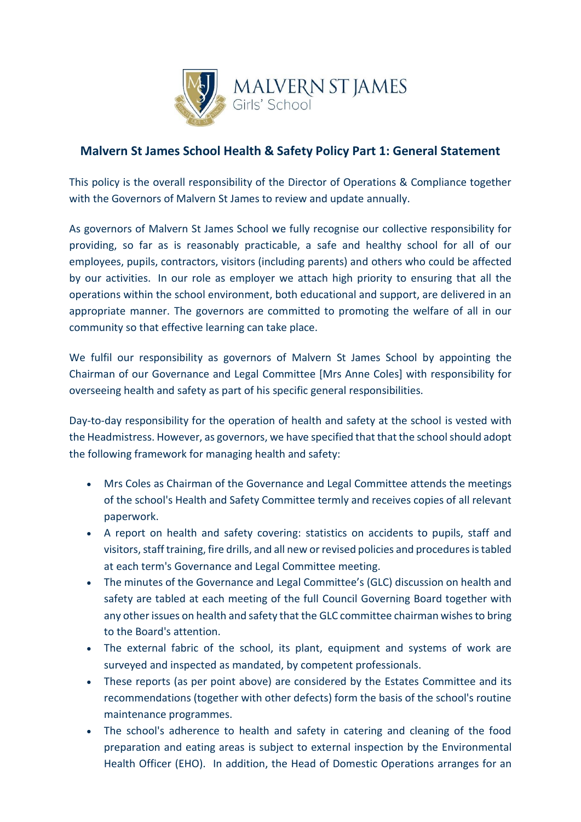

## **Malvern St James School Health & Safety Policy Part 1: General Statement**

This policy is the overall responsibility of the Director of Operations & Compliance together with the Governors of Malvern St James to review and update annually.

As governors of Malvern St James School we fully recognise our collective responsibility for providing, so far as is reasonably practicable, a safe and healthy school for all of our employees, pupils, contractors, visitors (including parents) and others who could be affected by our activities. In our role as employer we attach high priority to ensuring that all the operations within the school environment, both educational and support, are delivered in an appropriate manner. The governors are committed to promoting the welfare of all in our community so that effective learning can take place.

We fulfil our responsibility as governors of Malvern St James School by appointing the Chairman of our Governance and Legal Committee [Mrs Anne Coles] with responsibility for overseeing health and safety as part of his specific general responsibilities.

Day-to-day responsibility for the operation of health and safety at the school is vested with the Headmistress. However, as governors, we have specified that that the school should adopt the following framework for managing health and safety:

- Mrs Coles as Chairman of the Governance and Legal Committee attends the meetings of the school's Health and Safety Committee termly and receives copies of all relevant paperwork.
- A report on health and safety covering: statistics on accidents to pupils, staff and visitors, staff training, fire drills, and all new or revised policies and procedures is tabled at each term's Governance and Legal Committee meeting.
- The minutes of the Governance and Legal Committee's (GLC) discussion on health and safety are tabled at each meeting of the full Council Governing Board together with any other issues on health and safety that the GLC committee chairman wishes to bring to the Board's attention.
- The external fabric of the school, its plant, equipment and systems of work are surveyed and inspected as mandated, by competent professionals.
- These reports (as per point above) are considered by the Estates Committee and its recommendations (together with other defects) form the basis of the school's routine maintenance programmes.
- The school's adherence to health and safety in catering and cleaning of the food preparation and eating areas is subject to external inspection by the Environmental Health Officer (EHO). In addition, the Head of Domestic Operations arranges for an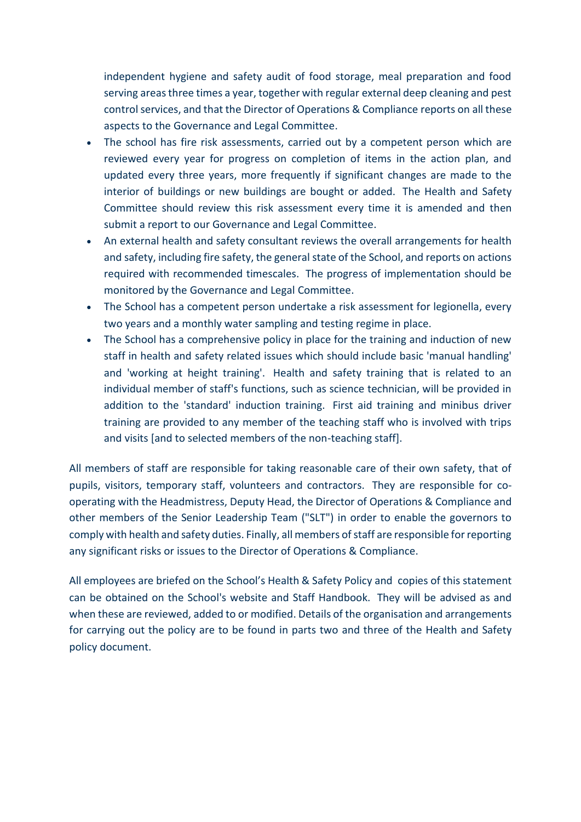independent hygiene and safety audit of food storage, meal preparation and food serving areas three times a year, together with regular external deep cleaning and pest control services, and that the Director of Operations & Compliance reports on all these aspects to the Governance and Legal Committee.

- The school has fire risk assessments, carried out by a competent person which are reviewed every year for progress on completion of items in the action plan, and updated every three years, more frequently if significant changes are made to the interior of buildings or new buildings are bought or added. The Health and Safety Committee should review this risk assessment every time it is amended and then submit a report to our Governance and Legal Committee.
- An external health and safety consultant reviews the overall arrangements for health and safety, including fire safety, the general state of the School, and reports on actions required with recommended timescales. The progress of implementation should be monitored by the Governance and Legal Committee.
- The School has a competent person undertake a risk assessment for legionella, every two years and a monthly water sampling and testing regime in place.
- The School has a comprehensive policy in place for the training and induction of new staff in health and safety related issues which should include basic 'manual handling' and 'working at height training'. Health and safety training that is related to an individual member of staff's functions, such as science technician, will be provided in addition to the 'standard' induction training. First aid training and minibus driver training are provided to any member of the teaching staff who is involved with trips and visits [and to selected members of the non-teaching staff].

All members of staff are responsible for taking reasonable care of their own safety, that of pupils, visitors, temporary staff, volunteers and contractors. They are responsible for cooperating with the Headmistress, Deputy Head, the Director of Operations & Compliance and other members of the Senior Leadership Team ("SLT") in order to enable the governors to comply with health and safety duties. Finally, all members of staff are responsible for reporting any significant risks or issues to the Director of Operations & Compliance.

All employees are briefed on the School's Health & Safety Policy and copies of this statement can be obtained on the School's website and Staff Handbook. They will be advised as and when these are reviewed, added to or modified. Details of the organisation and arrangements for carrying out the policy are to be found in parts two and three of the Health and Safety policy document.